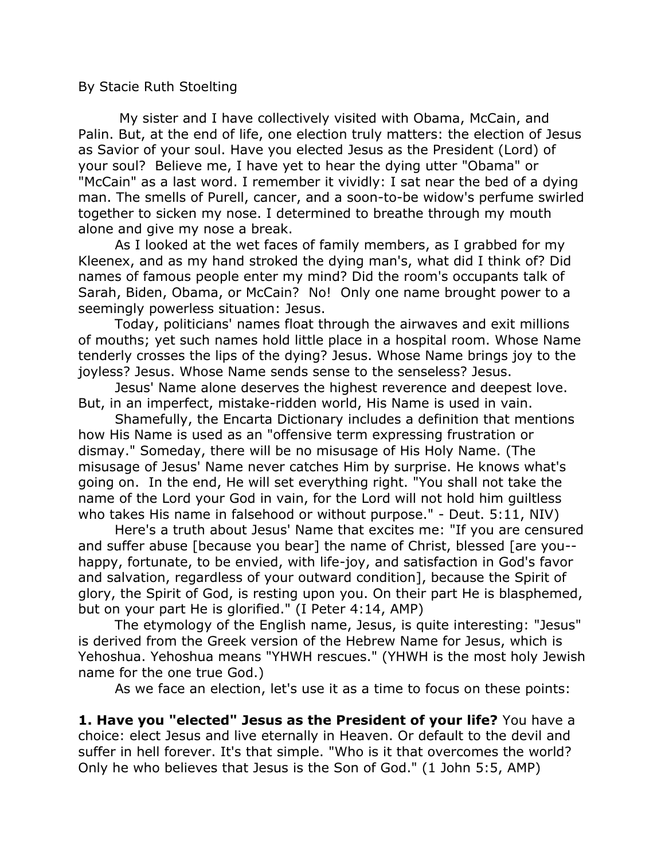## By Stacie Ruth Stoelting

 My sister and I have collectively visited with Obama, McCain, and Palin. But, at the end of life, one election truly matters: the election of Jesus as Savior of your soul. Have you elected Jesus as the President (Lord) of your soul? Believe me, I have yet to hear the dying utter "Obama" or "McCain" as a last word. I remember it vividly: I sat near the bed of a dying man. The smells of Purell, cancer, and a soon-to-be widow's perfume swirled together to sicken my nose. I determined to breathe through my mouth alone and give my nose a break.

 As I looked at the wet faces of family members, as I grabbed for my Kleenex, and as my hand stroked the dying man's, what did I think of? Did names of famous people enter my mind? Did the room's occupants talk of Sarah, Biden, Obama, or McCain? No! Only one name brought power to a seemingly powerless situation: Jesus.

 Today, politicians' names float through the airwaves and exit millions of mouths; yet such names hold little place in a hospital room. Whose Name tenderly crosses the lips of the dying? Jesus. Whose Name brings joy to the joyless? Jesus. Whose Name sends sense to the senseless? Jesus.

 Jesus' Name alone deserves the highest reverence and deepest love. But, in an imperfect, mistake-ridden world, His Name is used in vain.

 Shamefully, the Encarta Dictionary includes a definition that mentions how His Name is used as an "offensive term expressing frustration or dismay." Someday, there will be no misusage of His Holy Name. (The misusage of Jesus' Name never catches Him by surprise. He knows what's going on. In the end, He will set everything right. "You shall not take the name of the Lord your God in vain, for the Lord will not hold him guiltless who takes His name in falsehood or without purpose." - Deut. 5:11, NIV)

 Here's a truth about Jesus' Name that excites me: "If you are censured and suffer abuse [because you bear] the name of Christ, blessed [are you- happy, fortunate, to be envied, with life-joy, and satisfaction in God's favor and salvation, regardless of your outward condition], because the Spirit of glory, the Spirit of God, is resting upon you. On their part He is blasphemed, but on your part He is glorified." (I Peter 4:14, AMP)

 The etymology of the English name, Jesus, is quite interesting: "Jesus" is derived from the Greek version of the Hebrew Name for Jesus, which is Yehoshua. Yehoshua means "YHWH rescues." (YHWH is the most holy Jewish name for the one true God.)

As we face an election, let's use it as a time to focus on these points:

**1. Have you "elected" Jesus as the President of your life?** You have a choice: elect Jesus and live eternally in Heaven. Or default to the devil and suffer in hell forever. It's that simple. "Who is it that overcomes the world? Only he who believes that Jesus is the Son of God." (1 John 5:5, AMP)